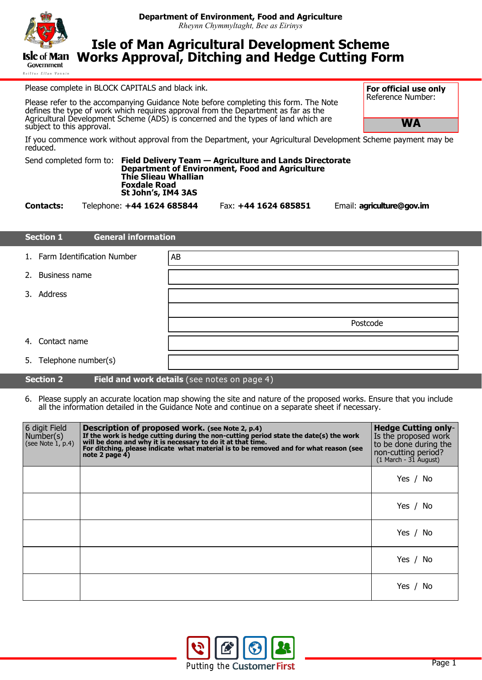

Reiltys Ellan Vannis

# **Isle of Man Agricultural Development Scheme Works Approval, Ditching and Hedge Cutting Form**

Please complete in BLOCK CAPITALS and black ink.

Please refer to the accompanying Guidance Note before completing this form. The Note defines the type of work which requires approval from the Department as far as the Agricultural Development Scheme (ADS) is concerned and the types of land which are subject to this approval.

If you commence work without approval from the Department, your Agricultural Development Scheme payment may be reduced.

| <b>Thie Slieau Whallian</b><br><b>Foxdale Road</b><br>St John's, IM4 3AS |  | Send completed form to: Field Delivery Team — Agriculture and Lands Directorate<br>Department of Environment, Food and Agriculture |
|--------------------------------------------------------------------------|--|------------------------------------------------------------------------------------------------------------------------------------|
|--------------------------------------------------------------------------|--|------------------------------------------------------------------------------------------------------------------------------------|

**Contacts:** Telephone: **+44 1624 685844** Fax: **+44 1624 685851** Email: **agriculture@gov.im**

**WA**

**For official use only** Reference Number:

|    | <b>General information</b><br><b>Section 1</b> |          |  |  |
|----|------------------------------------------------|----------|--|--|
|    | 1. Farm Identification Number                  | AB       |  |  |
| 2. | Business name                                  |          |  |  |
|    | 3. Address                                     |          |  |  |
|    |                                                |          |  |  |
|    |                                                | Postcode |  |  |
|    | 4. Contact name                                |          |  |  |
|    | 5. Telephone number(s)                         |          |  |  |

# **Section 2** Field and work details (see notes on page 4)

6. Please supply an accurate location map showing the site and nature of the proposed works. Ensure that you include all the information detailed in the Guidance Note and continue on a separate sheet if necessary.

| 6 digit Field<br>Number(s)<br>(see Note 1, p.4) | Description of proposed work. (see Note 2, p.4)<br>If the work is hedge cutting during the non-cutting period state the date(s) the work<br>will be done and why it is necessary to do it at that time.<br>For ditching, please indicate what material is to be removed and for what re<br>note 2 page 4) | <b>Hedge Cutting only-</b><br>Is the proposed work<br>to be done during the<br>non-cutting period?<br>$(1$ March - $31$ August) |
|-------------------------------------------------|-----------------------------------------------------------------------------------------------------------------------------------------------------------------------------------------------------------------------------------------------------------------------------------------------------------|---------------------------------------------------------------------------------------------------------------------------------|
|                                                 |                                                                                                                                                                                                                                                                                                           | Yes / No                                                                                                                        |
|                                                 |                                                                                                                                                                                                                                                                                                           | Yes /<br>No.                                                                                                                    |
|                                                 |                                                                                                                                                                                                                                                                                                           | Yes /<br>No.                                                                                                                    |
|                                                 |                                                                                                                                                                                                                                                                                                           | Yes /<br>No.                                                                                                                    |
|                                                 |                                                                                                                                                                                                                                                                                                           | Yes /<br>No.                                                                                                                    |

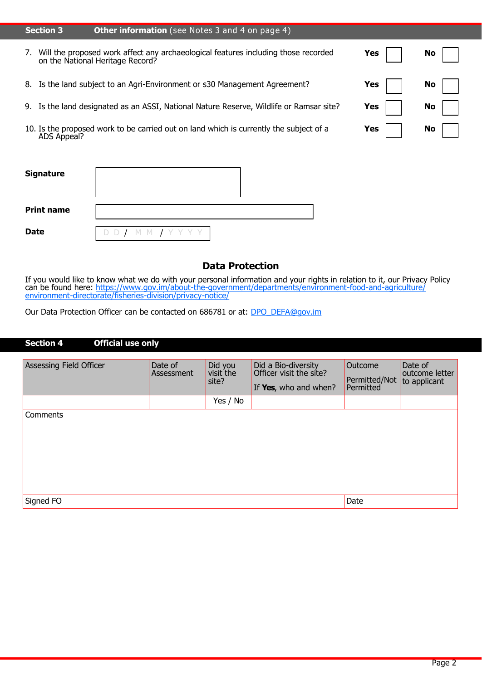| <b>Section 3</b> | <b>Other information</b> (see Notes 3 and 4 on page 4)                                                                 |     |           |
|------------------|------------------------------------------------------------------------------------------------------------------------|-----|-----------|
| 7.               | Will the proposed work affect any archaeological features including those recorded<br>on the National Heritage Record? | Yes | <b>No</b> |
| 8.               | Is the land subject to an Agri-Environment or s30 Management Agreement?                                                | Yes | <b>No</b> |
| 9.               | Is the land designated as an ASSI, National Nature Reserve, Wildlife or Ramsar site?                                   | Yes | <b>No</b> |
| ADS Appeal?      | 10. Is the proposed work to be carried out on land which is currently the subject of a                                 | Yes | No        |

| <b>Signature</b>  |                    |
|-------------------|--------------------|
| <b>Print name</b> |                    |
| <b>Date</b>       | DD / M M / Y Y Y Y |

# **Data Protection**

If you would like to know what we do with your personal information and your rights in relation to it, our Privacy Policy can be found here: https://www.gov.im/about-the-[government/departments/environment](https://www.gov.im/about-the-government/departments/environment-food-and-agriculture/environment-directorate/fisheries-division/privacy-notice/)-food-and-agriculture/ environment-[directorate/fisheries](https://www.gov.im/about-the-government/departments/environment-food-and-agriculture/environment-directorate/fisheries-division/privacy-notice/)-division/privacy-notice/

Our Data Protection Officer can be contacted on 686781 or at: **[DPO\\_DEFA@gov.im](mailto:DPO_DEFA@gov.im)** 

| <b>Section 4</b><br><b>Official use only</b> |                       |                               |                                                                         |                                       |                                           |
|----------------------------------------------|-----------------------|-------------------------------|-------------------------------------------------------------------------|---------------------------------------|-------------------------------------------|
| <b>Assessing Field Officer</b>               | Date of<br>Assessment | Did you<br>visit the<br>site? | Did a Bio-diversity<br>Officer visit the site?<br>If Yes, who and when? | Outcome<br>Permitted/Not<br>Permitted | Date of<br>outcome letter<br>to applicant |
|                                              |                       | Yes / No                      |                                                                         |                                       |                                           |
| <b>Comments</b>                              |                       |                               |                                                                         |                                       |                                           |
| Signed FO                                    |                       |                               |                                                                         | Date                                  |                                           |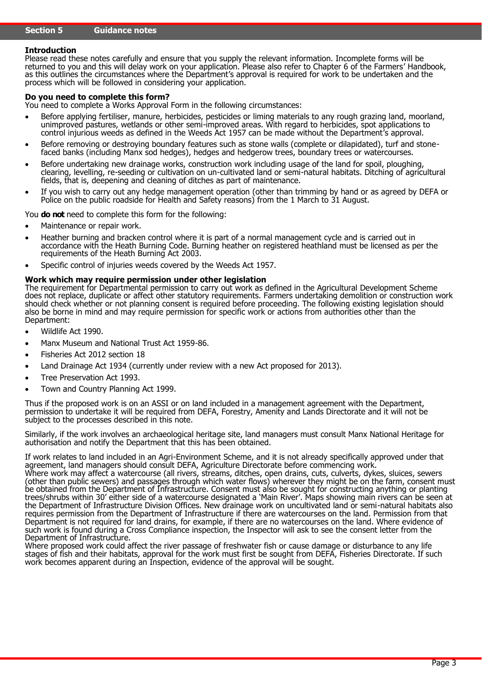# **Introduction**

Please read these notes carefully and ensure that you supply the relevant information. Incomplete forms will be returned to you and this will delay work on your application. Please also refer to Chapter 6 of the Farmers' Handbook, as this outlines the circumstances where the Department's approval is required for work to be undertaken and the process which will be followed in considering your application.

#### **Do you need to complete this form?**

You need to complete a Works Approval Form in the following circumstances:

- Before applying fertiliser, manure, herbicides, pesticides or liming materials to any rough grazing land, moorland, unimproved pastures, wetlands or other semi-improved areas. With regard to herbicides, spot applications to control injurious weeds as defined in the Weeds Act 1957 can be made without the Department's approval.
- Before removing or destroying boundary features such as stone walls (complete or dilapidated), turf and stonefaced banks (including Manx sod hedges), hedges and hedgerow trees, boundary trees or watercourses.
- Before undertaking new drainage works, construction work including usage of the land for spoil, ploughing, clearing, levelling, re-seeding or cultivation on un-cultivated land or semi-natural habitats. Ditching of agricultural fields, that is, deepening and cleaning of ditches as part of maintenance.
- If you wish to carry out any hedge management operation (other than trimming by hand or as agreed by DEFA or Police on the public roadside for Health and Safety reasons) from the 1 March to 31 August.

You **do not** need to complete this form for the following:

- Maintenance or repair work.
- Heather burning and bracken control where it is part of a normal management cycle and is carried out in accordance with the Heath Burning Code. Burning heather on registered heathland must be licensed as per the requirements of the Heath Burning Act 2003.
- Specific control of injuries weeds covered by the Weeds Act 1957.

#### **Work which may require permission under other legislation**

The requirement for Departmental permission to carry out work as defined in the Agricultural Development Scheme does not replace, duplicate or affect other statutory requirements. Farmers undertaking demolition or construction work should check whether or not planning consent is required before proceeding. The following existing legislation should also be borne in mind and may require permission for specific work or actions from authorities other than the Department:

- Wildlife Act 1990.
- Manx Museum and National Trust Act 1959-86.
- Fisheries Act 2012 section 18
- Land Drainage Act 1934 (currently under review with a new Act proposed for 2013).
- Tree Preservation Act 1993.
- Town and Country Planning Act 1999.

Thus if the proposed work is on an ASSI or on land included in a management agreement with the Department, permission to undertake it will be required from DEFA, Forestry, Amenity and Lands Directorate and it will not be subject to the processes described in this note.

Similarly, if the work involves an archaeological heritage site, land managers must consult Manx National Heritage for authorisation and notify the Department that this has been obtained.

If work relates to land included in an Agri-Environment Scheme, and it is not already specifically approved under that agreement, land managers should consult DEFA, Agriculture Directorate before commencing work. Where work may affect a watercourse (all rivers, streams, ditches, open drains, cuts, culverts, dykes, sluices, sewers (other than public sewers) and passages through which water flows) wherever they might be on the farm, consent must be obtained from the Department of Infrastructure. Consent must also be sought for constructing anything or planting trees/shrubs within 30' either side of a watercourse designated a 'Main River'. Maps showing main rivers can be seen at the Department of Infrastructure Division Offices. New drainage work on uncultivated land or semi-natural habitats also requires permission from the Department of Infrastructure if there are watercourses on the land. Permission from that Department is not required for land drains, for example, if there are no watercourses on the land. Where evidence of such work is found during a Cross Compliance inspection, the Inspector will ask to see the consent letter from the Department of Infrastructure.

Where proposed work could affect the river passage of freshwater fish or cause damage or disturbance to any life stages of fish and their habitats, approval for the work must first be sought from DEFA, Fisheries Directorate. If such work becomes apparent during an Inspection, evidence of the approval will be sought.